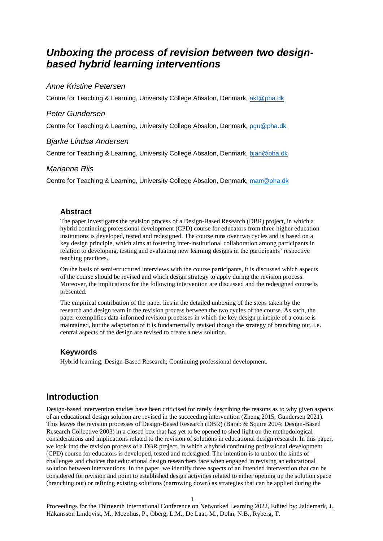# *Unboxing the process of revision between two designbased hybrid learning interventions*

## *Anne Kristine Petersen*

Centre for Teaching & Learning, University College Absalon, Denmark, [akt@pha.dk](mailto:akt@pha.dk)

## *Peter Gundersen*

Centre for Teaching & Learning, University College Absalon, Denmark, [pgu@pha.dk](mailto:pgu@pha.dk)

### *Bjarke Lindsø Andersen*

Centre for Teaching & Learning, University College Absalon, Denmark, [bjan@pha.dk](mailto:bjan@pha.dk)

#### *Marianne Riis*

Centre for Teaching & Learning, University College Absalon, Denmark, [marr@pha.dk](mailto:marr@pha.dk)

## **Abstract**

The paper investigates the revision process of a Design-Based Research (DBR) project, in which a hybrid continuing professional development (CPD) course for educators from three higher education institutions is developed, tested and redesigned. The course runs over two cycles and is based on a key design principle, which aims at fostering inter-institutional collaboration among participants in relation to developing, testing and evaluating new learning designs in the participants' respective teaching practices.

On the basis of semi-structured interviews with the course participants, it is discussed which aspects of the course should be revised and which design strategy to apply during the revision process. Moreover, the implications for the following intervention are discussed and the redesigned course is presented.

The empirical contribution of the paper lies in the detailed unboxing of the steps taken by the research and design team in the revision process between the two cycles of the course. As such, the paper exemplifies data-informed revision processes in which the key design principle of a course is maintained, but the adaptation of it is fundamentally revised though the strategy of branching out, i.e. central aspects of the design are revised to create a new solution.

## **Keywords**

Hybrid learning; Design-Based Research; Continuing professional development.

## **Introduction**

Design-based intervention studies have been criticised for rarely describing the reasons as to why given aspects of an educational design solution are revised in the succeeding intervention (Zheng 2015, Gundersen 2021). This leaves the revision processes of Design-Based Research (DBR) (Barab & Squire 2004; Design-Based Research Collective 2003) in a closed box that has yet to be opened to shed light on the methodological considerations and implications related to the revision of solutions in educational design research. In this paper, we look into the revision process of a DBR project, in which a hybrid continuing professional development (CPD) course for educators is developed, tested and redesigned. The intention is to unbox the kinds of challenges and choices that educational design researchers face when engaged in revising an educational solution between interventions. In the paper, we identify three aspects of an intended intervention that can be considered for revision and point to established design activities related to either opening up the solution space (branching out) or refining existing solutions (narrowing down) as strategies that can be applied during the

1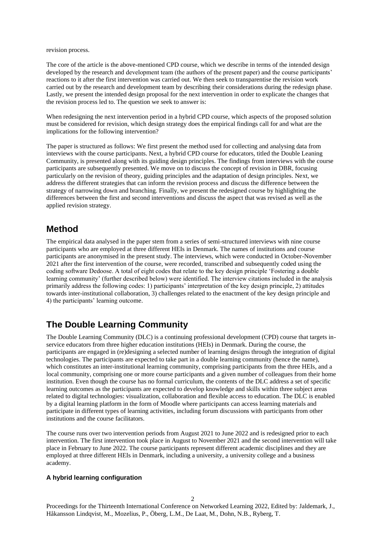revision process.

The core of the article is the above-mentioned CPD course, which we describe in terms of the intended design developed by the research and development team (the authors of the present paper) and the course participants' reactions to it after the first intervention was carried out. We then seek to transparentise the revision work carried out by the research and development team by describing their considerations during the redesign phase. Lastly, we present the intended design proposal for the next intervention in order to explicate the changes that the revision process led to. The question we seek to answer is:

When redesigning the next intervention period in a hybrid CPD course, which aspects of the proposed solution must be considered for revision, which design strategy does the empirical findings call for and what are the implications for the following intervention?

The paper is structured as follows: We first present the method used for collecting and analysing data from interviews with the course participants. Next, a hybrid CPD course for educators, titled the Double Leaning Community, is presented along with its guiding design principles. The findings from interviews with the course participants are subsequently presented. We move on to discuss the concept of revision in DBR, focusing particularly on the revision of theory, guiding principles and the adaptation of design principles. Next, we address the different strategies that can inform the revision process and discuss the difference between the strategy of narrowing down and branching. Finally, we present the redesigned course by highlighting the differences between the first and second interventions and discuss the aspect that was revised as well as the applied revision strategy.

## **Method**

The empirical data analysed in the paper stem from a series of semi-structured interviews with nine course participants who are employed at three different HEIs in Denmark. The names of institutions and course participants are anonymised in the present study. The interviews, which were conducted in October-November 2021 after the first intervention of the course, were recorded, transcribed and subsequently coded using the coding software Dedoose. A total of eight codes that relate to the key design principle 'Fostering a double learning community' (further described below) were identified. The interview citations included in the analysis primarily address the following codes: 1) participants' interpretation of the key design principle, 2) attitudes towards inter-institutional collaboration, 3) challenges related to the enactment of the key design principle and 4) the participants' learning outcome.

# **The Double Learning Community**

The Double Learning Community (DLC) is a continuing professional development (CPD) course that targets inservice educators from three higher education institutions (HEIs) in Denmark. During the course, the participants are engaged in (re)designing a selected number of learning designs through the integration of digital technologies. The participants are expected to take part in a double learning community (hence the name), which constitutes an inter-institutional learning community, comprising participants from the three HEIs, and a local community, comprising one or more course participants and a given number of colleagues from their home institution. Even though the course has no formal curriculum, the contents of the DLC address a set of specific learning outcomes as the participants are expected to develop knowledge and skills within three subject areas related to digital technologies: visualization, collaboration and flexible access to education. The DLC is enabled by a digital learning platform in the form of Moodle where participants can access learning materials and participate in different types of learning activities, including forum discussions with participants from other institutions and the course facilitators.

The course runs over two intervention periods from August 2021 to June 2022 and is redesigned prior to each intervention. The first intervention took place in August to November 2021 and the second intervention will take place in February to June 2022. The course participants represent different academic disciplines and they are employed at three different HEIs in Denmark, including a university, a university college and a business academy.

#### **A hybrid learning configuration**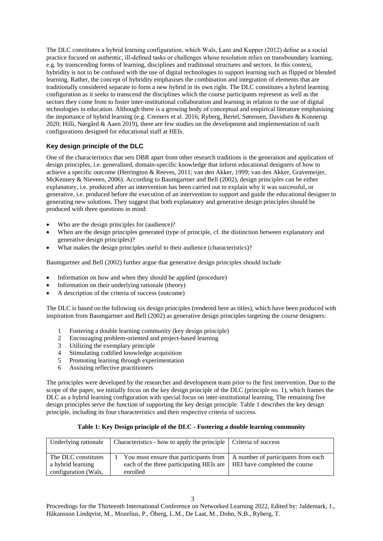The DLC constitutes a hybrid learning configuration, which Wals, Lans and Kupper (2012) define as a social practice focused on authentic, ill-defined tasks or challenges whose resolution relies on transboundary learning, e.g. by transcending forms of learning, disciplines and traditional structures and sectors. In this context, hybridity is not to be confused with the use of digital technologies to support learning such as flipped or blended learning. Rather, the concept of hybridity emphasises the combination and integration of elements that are traditionally considered separate to form a new hybrid in its own right. The DLC constitutes a hybrid learning configuration as it seeks to transcend the disciplines which the course participants represent as well as the sectors they come from to foster inter-institutional collaboration and learning in relation to the use of digital technologies in education. Although there is a growing body of conceptual and empirical literature emphasising the importance of hybrid learning (e.g. Cremers et al. 2016; Ryberg, Bertel, Sørensen, Davidsen & Konnerup 2020; Hilli, Nørgård & Aaen 2019), there are few studies on the development and implementation of such configurations designed for educational staff at HEIs.

## **Key design principle of the DLC**

One of the characteristics that sets DBR apart from other research traditions is the generation and application of design principles, i.e. generalised, domain-specific knowledge that inform educational designers of how to achieve a specific outcome (Herrington & Reeves, 2011; van den Akker, 1999; van den Akker, Gravemeijer, McKenney & Nieveen, 2006). According to Baumgartner and Bell (2002), design principles can be either explanatory, i.e. produced after an intervention has been carried out to explain why it was successful, or generative, i.e. produced before the execution of an intervention to support and guide the educational designer in generating new solutions. They suggest that both explanatory and generative design principles should be produced with three questions in mind:

- Who are the design principles for (audience)?
- When are the design principles generated (type of principle, cf. the distinction between explanatory and generative design principles)?
- What makes the design principles useful to their audience (characteristics)?

Baumgartner and Bell (2002) further argue that generative design principles should include

- Information on how and when they should be applied (procedure)
- Information on their underlying rationale (theory)
- A description of the criteria of success (outcome)

The DLC is based on the following six design principles (rendered here as titles), which have been produced with inspiration from Baumgartner and Bell (2002) as generative design principles targeting the course designers:

- 1 Fostering a double learning community (key design principle)
- 2 Encouraging problem-oriented and project-based learning
- 3 Utilizing the exemplary principle<br>4 Stimulating codified knowledge as
- Stimulating codified knowledge acquisition
- 5 Promoting learning through experimentation
- 6 Assisting reflective practitioners

The principles were developed by the researcher and development team prior to the first intervention. Due to the scope of the paper, we initially focus on the key design principle of the DLC (principle no. 1), which frames the DLC as a hybrid learning configuration with special focus on inter-institutional learning. The remaining five design principles serve the function of supporting the key design principle. Table 1 describes the key design principle, including its four characteristics and their respective criteria of success.

#### **Table 1: Key Design principle of the DLC - Fostering a double learning community**

| Underlying rationale                     | Characteristics - how to apply the principle   Criteria of success                                                                                                |  |
|------------------------------------------|-------------------------------------------------------------------------------------------------------------------------------------------------------------------|--|
| The DLC constitutes<br>a hybrid learning | You must ensure that participants from $\parallel$ A number of participants from each<br>each of the three participating HEIs are   HEI have completed the course |  |
| configuration (Wals,                     | enrolled                                                                                                                                                          |  |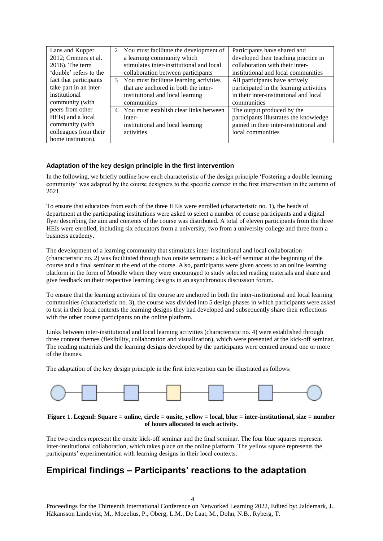| Lans and Kupper        | 2 | You must facilitate the development of    | Participants have shared and            |
|------------------------|---|-------------------------------------------|-----------------------------------------|
| 2012; Cremers et al.   |   | a learning community which                | developed their teaching practice in    |
| $2016$ ). The term     |   | stimulates inter-institutional and local  | collaboration with their inter-         |
| 'double' refers to the |   | collaboration between participants        | institutional and local communities     |
| fact that participants |   | 3 You must facilitate learning activities | All participants have actively          |
| take part in an inter- |   | that are anchored in both the inter-      | participated in the learning activities |
| institutional          |   | institutional and local learning          | in their inter-institutional and local  |
| community (with        |   | communities                               | communities                             |
| peers from other       | 4 | You must establish clear links between    | The output produced by the              |
| HEIs) and a local      |   | inter-                                    | participants illustrates the knowledge  |
| community (with        |   | institutional and local learning          | gained in their inter-institutional and |
| colleagues from their  |   | activities                                | local communities                       |
| home institution).     |   |                                           |                                         |

## **Adaptation of the key design principle in the first intervention**

In the following, we briefly outline how each characteristic of the design principle 'Fostering a double learning community' was adapted by the course designers to the specific context in the first intervention in the autumn of 2021.

To ensure that educators from each of the three HEIs were enrolled (characteristic no. 1), the heads of department at the participating institutions were asked to select a number of course participants and a digital flyer describing the aim and contents of the course was distributed. A total of eleven participants from the three HEIs were enrolled, including six educators from a university, two from a university college and three from a business academy.

The development of a learning community that stimulates inter-institutional and local collaboration (characteristic no. 2) was facilitated through two onsite seminars: a kick-off seminar at the beginning of the course and a final seminar at the end of the course. Also, participants were given access to an online learning platform in the form of Moodle where they were encouraged to study selected reading materials and share and give feedback on their respective learning designs in an asynchronous discussion forum.

To ensure that the learning activities of the course are anchored in both the inter-institutional and local learning communities (characteristic no. 3), the course was divided into 5 design phases in which participants were asked to test in their local contexts the learning designs they had developed and subsequently share their reflections with the other course participants on the online platform.

Links between inter-institutional and local learning activities (characteristic no. 4) were established through three content themes (flexibility, collaboration and visualization), which were presented at the kick-off seminar. The reading materials and the learning designs developed by the participants were centred around one or more of the themes.

The adaptation of the key design principle in the first intervention can be illustrated as follows:



#### **Figure 1. Legend: Square = online, circle = onsite, yellow = local, blue = inter-institutional, size = number of hours allocated to each activity.**

The two circles represent the onsite kick-off seminar and the final seminar. The four blue squares represent inter-institutional collaboration, which takes place on the online platform. The yellow square represents the participants' experimentation with learning designs in their local contexts.

# **Empirical findings – Participants' reactions to the adaptation**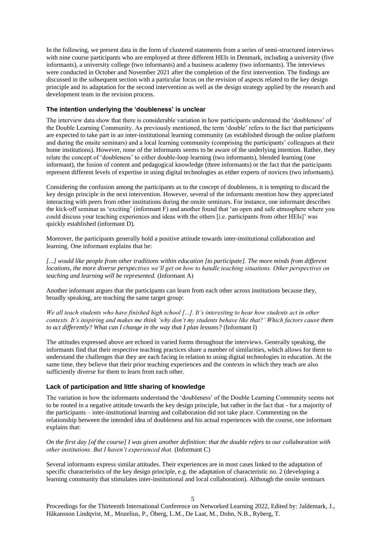In the following, we present data in the form of clustered statements from a series of semi-structured interviews with nine course participants who are employed at three different HEIs in Denmark, including a university (five informants), a university college (two informants) and a business academy (two informants). The interviews were conducted in October and November 2021 after the completion of the first intervention. The findings are discussed in the subsequent section with a particular focus on the revision of aspects related to the key design principle and its adaptation for the second intervention as well as the design strategy applied by the research and development team in the revision process.

#### **The intention underlying the 'doubleness' is unclear**

The interview data show that there is considerable variation in how participants understand the 'doubleness' of the Double Learning Community. As previously mentioned, the term 'double' refers to the fact that participants are expected to take part in an inter-institutional learning community (as established through the online platform and during the onsite seminars) and a local learning community (comprising the participants' colleagues at their home institutions). However, none of the informants seems to be aware of the underlying intention. Rather, they relate the concept of 'doubleness' to either double-loop learning (two informants), blended learning (one informant), the fusion of content and pedagogical knowledge (three informants) or the fact that the participants represent different levels of expertise in using digital technologies as either experts of novices (two informants).

Considering the confusion among the participants as to the concept of doubleness, it is tempting to discard the key design principle in the next intervention. However, several of the informants mention how they appreciated interacting with peers from other institutions during the onsite seminars. For instance, one informant describes the kick-off seminar as 'exciting' (informant F) and another found that 'an open and safe atmosphere where you could discuss your teaching experiences and ideas with the others [i.e. participants from other HEIs]' was quickly established (informant D).

Moreover, the participants generally hold a positive attitude towards inter-institutional collaboration and learning. One informant explains that he:

[...] would like people from other traditions within education [to participate]. The more minds from different *locations, the more diverse perspectives we'll get on how to handle teaching situations. Other perspectives on teaching and learning will be represented.* (Informant A)

Another informant argues that the participants can learn from each other across institutions because they, broadly speaking, are teaching the same target group:

*We all teach students who have finished high school [...]. It's interesting to hear how students act in other contexts. It's inspiring and makes me think 'why don't my students behave like that?' Which factors cause them to act differently? What can I change in the way that I plan lessons?* (Informant I)

The attitudes expressed above are echoed in varied forms throughout the interviews. Generally speaking, the informants find that their respective teaching practices share a number of similarities, which allows for them to understand the challenges that they are each facing in relation to using digital technologies in education. At the same time, they believe that their prior teaching experiences and the contexts in which they teach are also sufficiently diverse for them to learn from each other.

#### **Lack of participation and little sharing of knowledge**

The variation in how the informants understand the 'doubleness' of the Double Learning Community seems not to be rooted in a negative attitude towards the key design principle, but rather in the fact that - for a majority of the participants – inter-institutional learning and collaboration did not take place. Commenting on the relationship between the intended idea of doubleness and his actual experiences with the course, one informant explains that:

*On the first day [of the course] I was given another definition: that the double refers to our collaboration with other institutions. But I haven't experienced that.* (Informant C)

Several informants express similar attitudes. Their experiences are in most cases linked to the adaptation of specific characteristics of the key design principle, e.g. the adaptation of characteristic no. 2 (developing a learning community that stimulates inter-institutional and local collaboration). Although the onsite seminars

5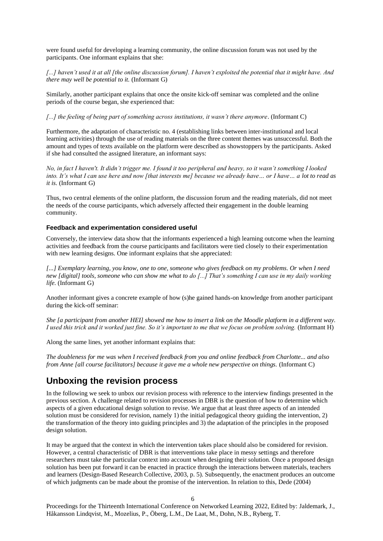were found useful for developing a learning community, the online discussion forum was not used by the participants. One informant explains that she:

*[...] haven't used it at all [the online discussion forum]. I haven't exploited the potential that it might have. And there may well be potential to it.* (Informant G)

Similarly, another participant explains that once the onsite kick-off seminar was completed and the online periods of the course began, she experienced that:

*[...] the feeling of being part of something across institutions, it wasn't there anymore*. (Informant C)

Furthermore, the adaptation of characteristic no. 4 (establishing links between inter-institutional and local learning activities) through the use of reading materials on the three content themes was unsuccessful. Both the amount and types of texts available on the platform were described as showstoppers by the participants. Asked if she had consulted the assigned literature, an informant says:

*No, in fact I haven't. It didn't trigger me. I found it too peripheral and heavy, so it wasn't something I looked into. It's what I can use here and now [that interests me] because we already have… or I have… a lot to read as it is.* (Informant G)

Thus, two central elements of the online platform, the discussion forum and the reading materials, did not meet the needs of the course participants, which adversely affected their engagement in the double learning community.

#### **Feedback and experimentation considered useful**

Conversely, the interview data show that the informants experienced a high learning outcome when the learning activities and feedback from the course participants and facilitators were tied closely to their experimentation with new learning designs. One informant explains that she appreciated:

*[...] Exemplary learning, you know, one to one, someone who gives feedback on my problems. Or when I need new [digital] tools, someone who can show me what to do [...] That's something I can use in my daily working life.* (Informant G)

Another informant gives a concrete example of how (s)he gained hands-on knowledge from another participant during the kick-off seminar:

*She [a participant from another HEI] showed me how to insert a link on the Moodle platform in a different way. I used this trick and it worked just fine. So it's important to me that we focus on problem solving.* (Informant H)

Along the same lines, yet another informant explains that:

*The doubleness for me was when I received feedback from you and online feedback from Charlotte... and also from Anne [all course facilitators] because it gave me a whole new perspective on things.* (Informant C)

## **Unboxing the revision process**

In the following we seek to unbox our revision process with reference to the interview findings presented in the previous section. A challenge related to revision processes in DBR is the question of how to determine which aspects of a given educational design solution to revise. We argue that at least three aspects of an intended solution must be considered for revision, namely 1) the initial pedagogical theory guiding the intervention, 2) the transformation of the theory into guiding principles and 3) the adaptation of the principles in the proposed design solution.

It may be argued that the context in which the intervention takes place should also be considered for revision. However, a central characteristic of DBR is that interventions take place in messy settings and therefore researchers must take the particular context into account when designing their solution. Once a proposed design solution has been put forward it can be enacted in practice through the interactions between materials, teachers and learners (Design-Based Research Collective, 2003, p. 5). Subsequently, the enactment produces an outcome of which judgments can be made about the promise of the intervention. In relation to this, Dede (2004)

6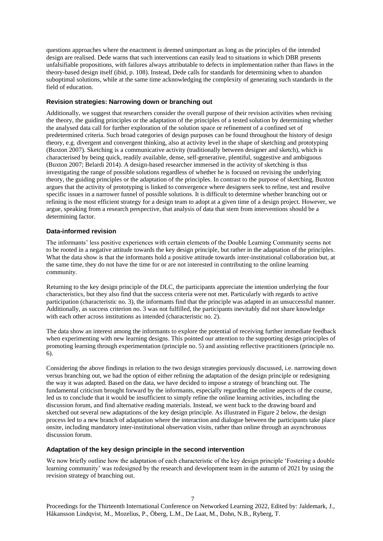questions approaches where the enactment is deemed unimportant as long as the principles of the intended design are realised. Dede warns that such interventions can easily lead to situations in which DBR presents unfalsifiable propositions, with failures always attributable to defects in implementation rather than flaws in the theory-based design itself (ibid, p. 108). Instead, Dede calls for standards for determining when to abandon suboptimal solutions, while at the same time acknowledging the complexity of generating such standards in the field of education.

### **Revision strategies: Narrowing down or branching out**

Additionally, we suggest that researchers consider the overall purpose of their revision activities when revising the theory, the guiding principles or the adaptation of the principles of a tested solution by determining whether the analysed data call for further exploration of the solution space or refinement of a confined set of predetermined criteria. Such broad categories of design purposes can be found throughout the history of design theory, e.g. divergent and convergent thinking, also at activity level in the shape of sketching and prototyping (Buxton 2007). Sketching is a communicative activity (traditionally between designer and sketch), which is characterised by being quick, readily available, dense, self-generative, plentiful, suggestive and ambiguous (Buxton 2007; Belardi 2014). A design-based researcher immersed in the activity of sketching is thus investigating the range of possible solutions regardless of whether he is focused on revising the underlying theory, the guiding principles or the adaptation of the principles. In contrast to the purpose of sketching, Buxton argues that the activity of prototyping is linked to convergence where designers seek to refine, test and resolve specific issues in a narrower funnel of possible solutions. It is difficult to determine whether branching out or refining is the most efficient strategy for a design team to adopt at a given time of a design project. However, we argue, speaking from a research perspective, that analysis of data that stem from interventions should be a determining factor.

### **Data-informed revision**

The informants' less positive experiences with certain elements of the Double Learning Community seems not to be rooted in a negative attitude towards the key design principle, but rather in the adaptation of the principles. What the data show is that the informants hold a positive attitude towards inter-institutional collaboration but, at the same time, they do not have the time for or are not interested in contributing to the online learning community.

Returning to the key design principle of the DLC, the participants appreciate the intention underlying the four characteristics, but they also find that the success criteria were not met. Particularly with regards to active participation (characteristic no. 3), the informants find that the principle was adapted in an unsuccessful manner. Additionally, as success criterion no. 3 was not fulfilled, the participants inevitably did not share knowledge with each other across institutions as intended (characteristic no. 2).

The data show an interest among the informants to explore the potential of receiving further immediate feedback when experimenting with new learning designs. This pointed our attention to the supporting design principles of promoting learning through experimentation (principle no. 5) and assisting reflective practitioners (principle no. 6).

Considering the above findings in relation to the two design strategies previously discussed, i.e. narrowing down versus branching out, we had the option of either refining the adaptation of the design principle or redesigning the way it was adapted. Based on the data, we have decided to impose a strategy of branching out. The fundamental criticism brought forward by the informants, especially regarding the online aspects of the course, led us to conclude that it would be insufficient to simply refine the online learning activities, including the discussion forum, and find alternative reading materials. Instead, we went back to the drawing board and sketched out several new adaptations of the key design principle. As illustrated in Figure 2 below, the design process led to a new branch of adaptation where the interaction and dialogue between the participants take place onsite, including mandatory inter-institutional observation visits, rather than online through an asynchronous discussion forum.

#### **Adaptation of the key design principle in the second intervention**

We now briefly outline how the adaptation of each characteristic of the key design principle 'Fostering a double learning community' was redesigned by the research and development team in the autumn of 2021 by using the revision strategy of branching out.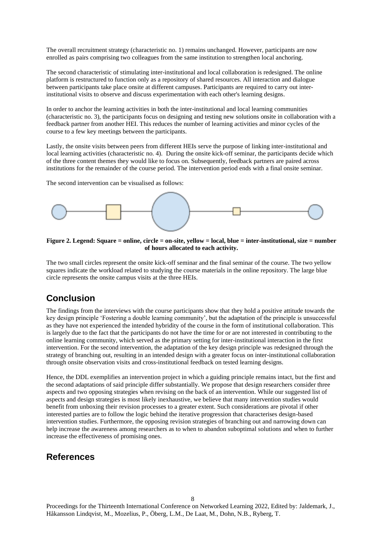The overall recruitment strategy (characteristic no. 1) remains unchanged. However, participants are now enrolled as pairs comprising two colleagues from the same institution to strengthen local anchoring.

The second characteristic of stimulating inter-institutional and local collaboration is redesigned. The online platform is restructured to function only as a repository of shared resources. All interaction and dialogue between participants take place onsite at different campuses. Participants are required to carry out interinstitutional visits to observe and discuss experimentation with each other's learning designs.

In order to anchor the learning activities in both the inter-institutional and local learning communities (characteristic no. 3), the participants focus on designing and testing new solutions onsite in collaboration with a feedback partner from another HEI. This reduces the number of learning activities and minor cycles of the course to a few key meetings between the participants.

Lastly, the onsite visits between peers from different HEIs serve the purpose of linking inter-institutional and local learning activities (characteristic no. 4). During the onsite kick-off seminar, the participants decide which of the three content themes they would like to focus on. Subsequently, feedback partners are paired across institutions for the remainder of the course period. The intervention period ends with a final onsite seminar.

The second intervention can be visualised as follows:



**Figure 2. Legend: Square = online, circle = on-site, yellow = local, blue = inter-institutional, size = number of hours allocated to each activity.**

The two small circles represent the onsite kick-off seminar and the final seminar of the course. The two yellow squares indicate the workload related to studying the course materials in the online repository. The large blue circle represents the onsite campus visits at the three HEIs.

# **Conclusion**

The findings from the interviews with the course participants show that they hold a positive attitude towards the key design principle 'Fostering a double learning community', but the adaptation of the principle is unsuccessful as they have not experienced the intended hybridity of the course in the form of institutional collaboration. This is largely due to the fact that the participants do not have the time for or are not interested in contributing to the online learning community, which served as the primary setting for inter-institutional interaction in the first intervention. For the second intervention, the adaptation of the key design principle was redesigned through the strategy of branching out, resulting in an intended design with a greater focus on inter-institutional collaboration through onsite observation visits and cross-institutional feedback on tested learning designs.

Hence, the DDL exemplifies an intervention project in which a guiding principle remains intact, but the first and the second adaptations of said principle differ substantially. We propose that design researchers consider three aspects and two opposing strategies when revising on the back of an intervention. While our suggested list of aspects and design strategies is most likely inexhaustive, we believe that many intervention studies would benefit from unboxing their revision processes to a greater extent. Such considerations are pivotal if other interested parties are to follow the logic behind the iterative progression that characterises design-based intervention studies. Furthermore, the opposing revision strategies of branching out and narrowing down can help increase the awareness among researchers as to when to abandon suboptimal solutions and when to further increase the effectiveness of promising ones.

## **References**